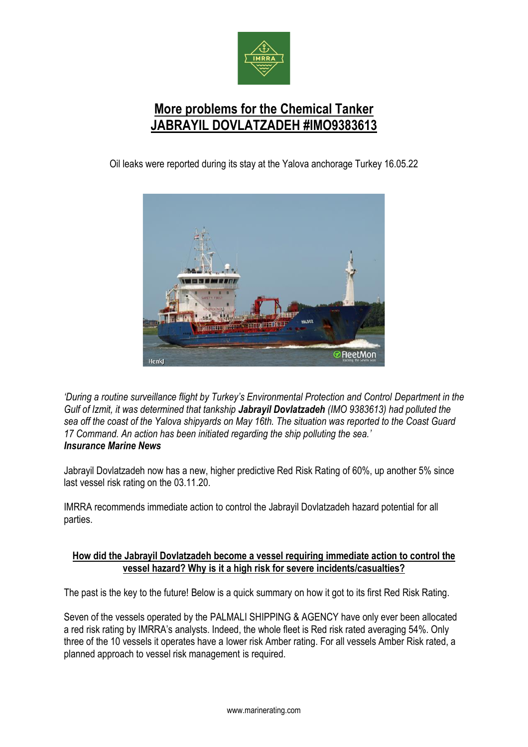

## **More problems for the Chemical Tanker JABRAYIL DOVLATZADEH #IMO9383613**

Oil leaks were reported during its stay at the Yalova anchorage Turkey 16.05.22



*'During a routine surveillance flight by Turkey's Environmental Protection and Control Department in the Gulf of Izmit, it was determined that tankship Jabrayil Dovlatzadeh (IMO 9383613) had polluted the sea off the coast of the Yalova shipyards on May 16th. The situation was reported to the Coast Guard 17 Command. An action has been initiated regarding the ship polluting the sea.' Insurance Marine News*

Jabrayil Dovlatzadeh now has a new, higher predictive Red Risk Rating of 60%, up another 5% since last vessel risk rating on the 03.11.20.

IMRRA recommends immediate action to control the Jabrayil Dovlatzadeh hazard potential for all parties.

## **How did the Jabrayil Dovlatzadeh become a vessel requiring immediate action to control the vessel hazard? Why is it a high risk for severe incidents/casualties?**

The past is the key to the future! Below is a quick summary on how it got to its first Red Risk Rating.

Seven of the vessels operated by the PALMALI SHIPPING & AGENCY have only ever been allocated a red risk rating by IMRRA's analysts. Indeed, the whole fleet is Red risk rated averaging 54%. Only three of the 10 vessels it operates have a lower risk Amber rating. For all vessels Amber Risk rated, a planned approach to vessel risk management is required.